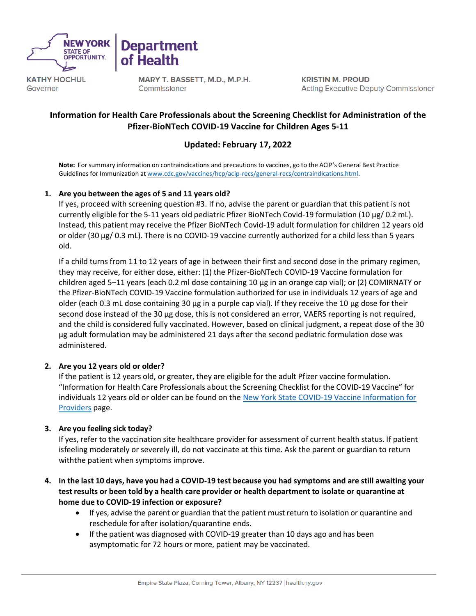



**KATHY HOCHUL** Governor

MARY T. BASSETT, M.D., M.P.H. Commissioner

**KRISTIN M. PROUD Acting Executive Deputy Commissioner** 

# **Information for Health Care Professionals about the Screening Checklist for Administration of the Pfizer-BioNTech COVID-19 Vaccine for Children Ages 5-11**

# **Updated: February 17, 2022**

**Note:** For summary information on contraindications and precautions to vaccines, go to the ACIP's General Best Practice Guidelines for Immunization at [www.cdc.gov/vaccines/hcp/acip-recs/general-recs/contraindications.html.](http://www.cdc.gov/vaccines/hcp/acip-recs/general-recs/contraindications.html)

### **1. Are you between the ages of 5 and 11 years old?**

If yes, proceed with screening question #3. If no, advise the parent or guardian that this patient is not currently eligible for the 5-11 years old pediatric Pfizer BioNTech Covid-19 formulation (10 µg/ 0.2 mL). Instead, this patient may receive the Pfizer BioNTech Covid-19 adult formulation for children 12 years old or older (30 µg/ 0.3 mL). There is no COVID-19 vaccine currently authorized for a child less than 5 years old.

If a child turns from 11 to 12 years of age in between their first and second dose in the primary regimen, they may receive, for either dose, either: (1) the Pfizer-BioNTech COVID-19 Vaccine formulation for children aged 5-11 years (each 0.2 ml dose containing 10 µg in an orange cap vial); or (2) COMIRNATY or the Pfizer-BioNTech COVID-19 Vaccine formulation authorized for use in individuals 12 years of age and older (each 0.3 mL dose containing 30 µg in a purple cap vial). If they receive the 10 µg dose for their second dose instead of the 30 µg dose, this is not considered an error, VAERS reporting is not required, and the child is considered fully vaccinated. However, based on clinical judgment, a repeat dose of the 30 µg adult formulation may be administered 21 days after the second pediatric formulation dose was administered.

# **2. Are you 12 years old or older?**

If the patient is 12 years old, or greater, they are eligible for the adult Pfizer vaccine formulation. "Information for Health Care Professionals about the Screening Checklist forthe COVID-19 Vaccine" for individuals 12 years old or older can be found on the [New York State COVID-19 Vaccine Information for](https://coronavirus.health.ny.gov/covid-19-vaccine-information-providers) [Providers](https://coronavirus.health.ny.gov/covid-19-vaccine-information-providers) page.

### **3. Are you feeling sick today?**

If yes, refer to the vaccination site healthcare provider for assessment of current health status. If patient isfeeling moderately or severely ill, do not vaccinate at this time. Ask the parent or guardian to return withthe patient when symptoms improve.

### 4. In the last 10 days, have you had a COVID-19 test because you had symptoms and are still awaiting your test results or been told by a health care provider or health department to isolate or quarantine at **home due to COVID-19 infection or exposure?**

- If yes, advise the parent or guardian that the patient must return to isolation or quarantine and reschedule for after isolation/quarantine ends.
- If the patient was diagnosed with COVID-19 greater than 10 days ago and has been asymptomatic for 72 hours or more, patient may be vaccinated.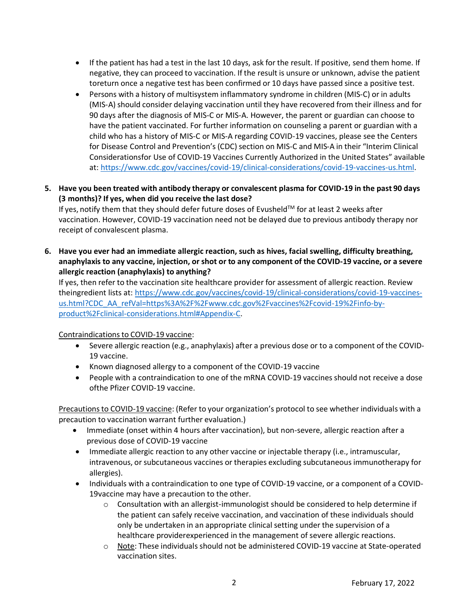- If the patient has had a test in the last 10 days, ask for the result. If positive, send them home. If negative, they can proceed to vaccination. If the result is unsure or unknown, advise the patient toreturn once a negative test has been confirmed or 10 days have passed since a positive test.
- Persons with a history of multisystem inflammatory syndrome in children (MIS-C) or in adults (MIS-A) should consider delaying vaccination until they have recovered from their illness and for 90 days after the diagnosis of MIS-C or MIS-A. However, the parent or guardian can choose to have the patient vaccinated. For further information on counseling a parent or guardian with a child who has a history of MIS-C or MIS-A regarding COVID-19 vaccines, please see the Centers for Disease Control and Prevention's (CDC) section on MIS-C and MIS-A in their "Interim Clinical Considerationsfor Use of COVID-19 Vaccines Currently Authorized in the United States" available at: [https://www.cdc.gov/vaccines/covid-19/clinical-considerations/covid-19-vaccines-us.html.](https://www.cdc.gov/vaccines/covid-19/clinical-considerations/covid-19-vaccines-us.html)
- 5. Have you been treated with antibody therapy or convalescent plasma for COVID-19 in the past 90 days **(3 months)? If yes, when did you receive the last dose?**

If yes, notify them that they should defer future doses of Evusheld™ for at least 2 weeks after vaccination. However, COVID-19 vaccination need not be delayed due to previous antibody therapy nor receipt of convalescent plasma.

**6. Have you ever had an immediate allergic reaction, such as hives, facial swelling, difficulty breathing,** anaphylaxis to any vaccine, injection, or shot or to any component of the COVID-19 vaccine, or a severe **allergic reaction (anaphylaxis) to anything?**

If yes, then refer to the vaccination site healthcare provider for assessment of allergic reaction. Review theingredient lists at: [https://www.cdc.gov/vaccines/covid-19/clinical-considerations/covid-19-vaccines](https://www.cdc.gov/vaccines/covid-19/clinical-considerations/covid-19-vaccines-us.html?CDC_AA_refVal=https%3A%2F%2Fwww.cdc.gov%2Fvaccines%2Fcovid-19%2Finfo-by-product%2Fclinical-considerations.html&Appendix-C)[us.html?CDC\\_AA\\_refVal=https%3A%2F%2Fwww.cdc.gov%2Fvaccines%2Fcovid-19%2Finfo-by](https://www.cdc.gov/vaccines/covid-19/clinical-considerations/covid-19-vaccines-us.html?CDC_AA_refVal=https%3A%2F%2Fwww.cdc.gov%2Fvaccines%2Fcovid-19%2Finfo-by-product%2Fclinical-considerations.html&Appendix-C)[product%2Fclinical-considerations.html#Appendix-C.](https://www.cdc.gov/vaccines/covid-19/clinical-considerations/covid-19-vaccines-us.html?CDC_AA_refVal=https%3A%2F%2Fwww.cdc.gov%2Fvaccines%2Fcovid-19%2Finfo-by-product%2Fclinical-considerations.html&Appendix-C)

Contraindications to COVID-19 vaccine:

- Severe allergic reaction (e.g., anaphylaxis) after a previous dose or to a component of the COVID-19 vaccine.
- Known diagnosed allergy to a component of the COVID-19 vaccine
- People with a contraindication to one of the mRNA COVID-19 vaccines should not receive a dose ofthe Pfizer COVID-19 vaccine.

Precautions to COVID-19 vaccine: (Refer to your organization's protocol to see whether individuals with a precaution to vaccination warrant further evaluation.)

- Immediate (onset within 4 hours after vaccination), but non-severe, allergic reaction after a previous dose of COVID-19 vaccine
- Immediate allergic reaction to any other vaccine or injectable therapy (i.e., intramuscular, intravenous, or subcutaneous vaccines or therapies excluding subcutaneous immunotherapy for allergies).
- Individuals with a contraindication to one type of COVID-19 vaccine, or a component of a COVID-19vaccine may have a precaution to the other.
	- $\circ$  Consultation with an allergist-immunologist should be considered to help determine if the patient can safely receive vaccination, and vaccination of these individuals should only be undertaken in an appropriate clinical setting under the supervision of a healthcare providerexperienced in the management of severe allergic reactions.
	- o Note: These individuals should not be administered COVID-19 vaccine at State-operated vaccination sites.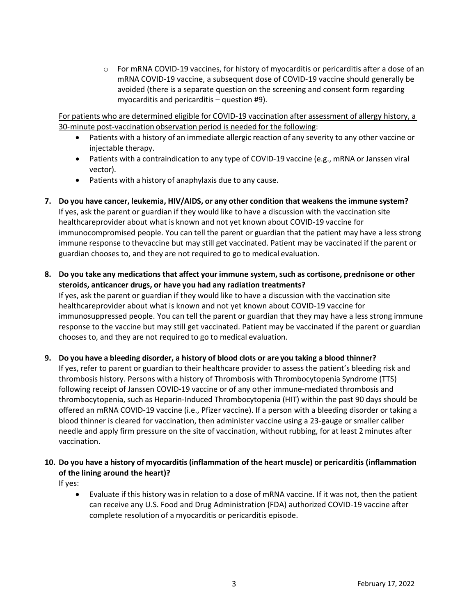$\circ$  For mRNA COVID-19 vaccines, for history of myocarditis or pericarditis after a dose of an mRNA COVID-19 vaccine, a subsequent dose of COVID-19 vaccine should generally be avoided (there is a separate question on the screening and consent form regarding myocarditis and pericarditis – question #9).

For patients who are determined eligible for COVID-19 vaccination after assessment of allergy history, a 30-minute post-vaccination observation period is needed for the following:

- Patients with a history of an immediate allergic reaction of any severity to any other vaccine or injectable therapy.
- Patients with a contraindication to any type of COVID-19 vaccine (e.g., mRNA or Janssen viral vector).
- Patients with a history of anaphylaxis due to any cause.
- **7. Do you have cancer, leukemia, HIV/AIDS, or any other condition that weakens the immune system?** If yes, ask the parent or guardian if they would like to have a discussion with the vaccination site healthcareprovider about what is known and not yet known about COVID-19 vaccine for immunocompromised people. You can tell the parent or guardian that the patient may have a less strong immune response to thevaccine but may still get vaccinated. Patient may be vaccinated if the parent or guardian chooses to, and they are not required to go to medical evaluation.
- **8. Do you take any medications that affect your immune system, such as cortisone, prednisone or other steroids, anticancer drugs, or have you had any radiation treatments?**

If yes, ask the parent or guardian if they would like to have a discussion with the vaccination site healthcareprovider about what is known and not yet known about COVID-19 vaccine for immunosuppressed people. You can tell the parent or guardian that they may have a less strong immune response to the vaccine but may still get vaccinated. Patient may be vaccinated if the parent or guardian chooses to, and they are not required to go to medical evaluation.

### **9. Do you have a bleeding disorder, a history of blood clots or are you taking a blood thinner?**

If yes, refer to parent or guardian to their healthcare provider to assess the patient's bleeding risk and thrombosis history. Persons with a history of Thrombosis with Thrombocytopenia Syndrome (TTS) following receipt of Janssen COVID-19 vaccine or of any other immune-mediated thrombosis and thrombocytopenia, such as Heparin-Induced Thrombocytopenia (HIT) within the past 90 days should be offered an mRNA COVID-19 vaccine (i.e., Pfizer vaccine). If a person with a bleeding disorder or taking a blood thinner is cleared for vaccination, then administer vaccine using a 23-gauge or smaller caliber needle and apply firm pressure on the site of vaccination, without rubbing, for at least 2 minutes after vaccination.

### **10. Do you have a history of myocarditis (inflammation of the heart muscle) or pericarditis (inflammation of the lining around the heart)?**

If yes:

• Evaluate if this history was in relation to a dose of mRNA vaccine. If it was not, then the patient can receive any U.S. Food and Drug Administration (FDA) authorized COVID-19 vaccine after complete resolution of a myocarditis or pericarditis episode.